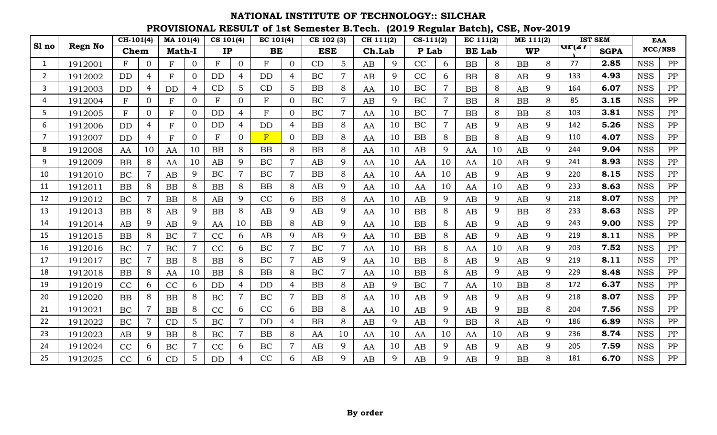|                |                | $CH-101(4)$ |                | MA 101(4)     |                | CS 101(4)    |                | EC 101(4) |                | CE 102 (3) |                | CH 111(2) |             | $CS-111(2)$ |                | EC 111(2)     |       | ME 111(2) |   |                               | <b>IST SEM</b> |            | <b>EAA</b> |
|----------------|----------------|-------------|----------------|---------------|----------------|--------------|----------------|-----------|----------------|------------|----------------|-----------|-------------|-------------|----------------|---------------|-------|-----------|---|-------------------------------|----------------|------------|------------|
| Sl no          | <b>Regn No</b> | Chem        |                | <b>Math-I</b> |                | IP           |                | BE        |                | <b>ESE</b> |                | Ch.Lab    |             | P Lab       |                | <b>BE</b> Lab |       | <b>WP</b> |   | $\mathbf{u}$ r $\mathbf{z}$ r | <b>SGPA</b>    |            | NCC/NSS    |
| $\mathbf{1}$   | 1912001        | F           | $\overline{0}$ | F             | $\overline{0}$ | $\mathbf{F}$ | $\overline{0}$ | F         | $\Omega$       | CD         | 5              | AB        | 9           | CC          | 6              | <b>BB</b>     | $8\,$ | BB        | 8 | 77                            | 2.85           | <b>NSS</b> | PP         |
| $\overline{2}$ | 1912002        | <b>DD</b>   | 4              | F             | $\Omega$       | <b>DD</b>    | $\overline{4}$ | <b>DD</b> | $\overline{4}$ | <b>BC</b>  | $\overline{7}$ | AB        | $\mathbf Q$ | CC          | 6              | <b>BB</b>     | 8     | AB        | 9 | 133                           | 4.93           | <b>NSS</b> | PP         |
| 3              | 1912003        | DD          | 4              | <b>DD</b>     | 4              | CD           | 5              | CD        | 5              | <b>BB</b>  | 8              | AA        | 10          | BC          | 7              | <b>BB</b>     | 8     | AB        | 9 | 164                           | 6.07           | <b>NSS</b> | PP         |
| 4              | 1912004        | F           | $\overline{0}$ | $\mathbf F$   | $\Omega$       | $\mathbf{F}$ | $\overline{0}$ | ${\rm F}$ | $\overline{0}$ | BC         | $\overline{7}$ | AB        | 9           | BC          | $\overline{7}$ | <b>BB</b>     | 8     | BB        | 8 | 85                            | 3.15           | <b>NSS</b> | PP         |
| 5.             | 1912005        | $\mathbf F$ | 0              | ${\bf F}$     | $\overline{0}$ | <b>DD</b>    | 4              | ${\rm F}$ | $\overline{0}$ | BC         |                | AA        | 10          | BC          | $\overline{7}$ | <b>BB</b>     | 8     | BB        | 8 | 103                           | 3.81           | <b>NSS</b> | PP         |
| 6              | 1912006        | <b>DD</b>   | 4              | F             | $\Omega$       | <b>DD</b>    | $\overline{4}$ | <b>DD</b> | $\overline{4}$ | BB         | 8              | AA        | 10          | BC          | $\overline{7}$ | AB            | 9     | AB        | 9 | 142                           | 5.26           | <b>NSS</b> | PP         |
| 7              | 1912007        | DD          | 4              | F             | $\Omega$       | $\mathbf F$  | $\overline{0}$ | F         | $\overline{0}$ | <b>BB</b>  | 8              | AA        | 10          | <b>BB</b>   | 8              | <b>BB</b>     | 8     | AB        | 9 | 110                           | 4.07           | <b>NSS</b> | PP         |
| 8              | 1912008        | AA          | 10             | AA            | 10             | BB           | 8              | <b>BB</b> | 8              | <b>BB</b>  | 8              | AA        | 10          | AB          | 9              | AA            | 10    | AB        | 9 | 244                           | 9.04           | <b>NSS</b> | PP         |
| 9              | 1912009        | <b>BB</b>   | 8              | AA            | 10             | AB           | 9              | BC        | $\overline{7}$ | AB         | 9              | AA        | 10          | AA          | 10             | AA            | 10    | AB        | 9 | 241                           | 8.93           | <b>NSS</b> | PP         |
| 10             | 1912010        | BC          | 7              | AB            | 9              | BC           | $\overline{7}$ | <b>BC</b> | $\overline{7}$ | BB         | 8              | AA        | 10          | AA          | 10             | AB            | 9     | AB        | 9 | 220                           | 8.15           | <b>NSS</b> | PP         |
| 11             | 1912011        | <b>BB</b>   | 8              | <b>BB</b>     | 8              | <b>BB</b>    | 8              | BB        | 8              | AB         | 9              | AA        | 10          | AA          | 10             | AA            | 10    | AB        | 9 | 233                           | 8.63           | <b>NSS</b> | ${\rm PP}$ |
| 12             | 1912012        | BC          |                | <b>BB</b>     | 8              | AB           | 9              | CC        | 6              | <b>BB</b>  | 8              | AA        | 10          | AB          | 9              | AB            | 9     | AB        | 9 | 218                           | 8.07           | <b>NSS</b> | PP         |
| 13             | 1912013        | <b>BB</b>   | 8              | AB            | 9              | BB           | 8              | AB        | 9              | AB         | 9              | AA        | 10          | <b>BB</b>   | 8              | AB            | 9     | <b>BB</b> | 8 | 233                           | 8.63           | <b>NSS</b> | PP         |
| 14             | 1912014        | AB          | 9              | AB            | 9              | AA           | 10             | <b>BB</b> | 8              | AB         | 9              | AA        | 10          | <b>BB</b>   | 8              | AB            | 9     | AB        | 9 | 243                           | 9.00           | <b>NSS</b> | PP         |
| 15             | 1912015        | <b>BB</b>   | 8              | BC            | $\overline{7}$ | CC           | 6              | AB        | 9              | AB         | 9              | AA        | 10          | <b>BB</b>   | 8              | AB            | 9     | AB        | 9 | 219                           | 8.11           | <b>NSS</b> | PP         |
| 16             | 1912016        | BC          |                | BC            |                | CC           | 6              | BC        | $\overline{7}$ | BC         | $\overline{7}$ | AA        | 10          | <b>BB</b>   | 8              | AA            | 10    | AB        | 9 | 203                           | 7.52           | <b>NSS</b> | PP         |
| 17             | 1912017        | BC          |                | BB            | 8              | BB           | 8              | BC        | $\overline{7}$ | AB         | 9              | AA        | 10          | BB          | 8              | AB            | 9     | AB        | 9 | 219                           | 8.11           | <b>NSS</b> | ${\rm PP}$ |
| 18             | 1912018        | <b>BB</b>   | 8              | AA            | 10             | <b>BB</b>    | 8              | <b>BB</b> | 8              | <b>BC</b>  | $\overline{7}$ | AA        | 10          | BB          | 8              | AB            | 9     | AB        | 9 | 229                           | 8.48           | <b>NSS</b> | PP         |
| 19             | 1912019        | CC          | 6              | CC            | 6              | <b>DD</b>    | $\overline{4}$ | <b>DD</b> | $\overline{4}$ | <b>BB</b>  | 8              | AB        | 9           | BC          | $\overline{7}$ | AA            | 10    | <b>BB</b> | 8 | 172                           | 6.37           | <b>NSS</b> | PP         |
| 20             | 1912020        | <b>BB</b>   | 8              | <b>BB</b>     | 8              | BC           | $\overline{7}$ | BC        | $\overline{7}$ | <b>BB</b>  | 8              | AA        | 10          | AB          | 9              | AB            | 9     | AB        | 9 | 218                           | 8.07           | <b>NSS</b> | PP         |
| 21             | 1912021        | BC          | 7              | <b>BB</b>     | 8              | CC           | 6              | CC        | 6              | <b>BB</b>  | 8              | AA        | 10          | AB          | 9              | AB            | 9     | BB        | 8 | 204                           | 7.56           | <b>NSS</b> | PP         |
| 22             | 1912022        | BC          |                | CD            | 5              | BC           | $\overline{7}$ | <b>DD</b> | 4              | <b>BB</b>  | 8              | AB        | 9           | AB          | 9              | <b>BB</b>     | 8     | AB        | 9 | 186                           | 6.89           | <b>NSS</b> | PP         |
| 23             | 1912023        | AB          | 9              | <b>BB</b>     | 8              | <b>BC</b>    | $\overline{7}$ | <b>BB</b> | 8              | AA         | 10             | AA        | 10          | AA          | 10             | AA            | 10    | AB        | 9 | 236                           | 8.74           | <b>NSS</b> | PP         |
| 24             | 1912024        | CC          | 6              | BC            | $\overline{7}$ | CC           | 6              | BC        | $\overline{7}$ | AB         | 9              | AA        | 10          | AB          | 9              | AB            | 9     | AB        | 9 | 205                           | 7.59           | <b>NSS</b> | PP         |
| 25             | 1912025        | CC          | 6              | CD            | 5              | DD           | 4              | CC        | 6              | AB         | Q              | AB        | 9           | AB          | 9              | AB            | 9     | BB        | 8 | 181                           | 6.70           | <b>NSS</b> | PP         |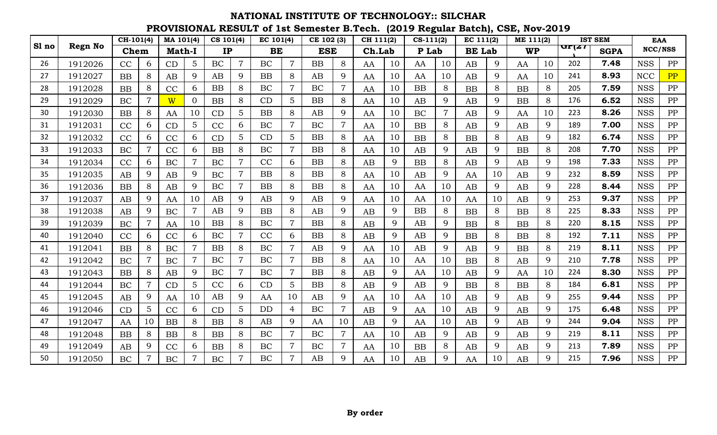|       |                | $CH-101(4)$ |                | MA 101(4)     |                | CS 101(4) |                | EC 101(4) |                 | CE 102 (3) |                | CH 111(2) |    | $CS-111(2)$ |    | EC 111(2)     |    | ME 111(2) |             |       | <b>IST SEM</b> | <b>EAA</b> |            |
|-------|----------------|-------------|----------------|---------------|----------------|-----------|----------------|-----------|-----------------|------------|----------------|-----------|----|-------------|----|---------------|----|-----------|-------------|-------|----------------|------------|------------|
| Sl no | <b>Regn No</b> | Chem        |                | <b>Math-I</b> |                | IP        |                | BE        |                 | <b>ESE</b> |                | Ch.Lab    |    | P Lab       |    | <b>BE</b> Lab |    | <b>WP</b> |             | प्राय | <b>SGPA</b>    |            | NCC/NSS    |
| 26    | 1912026        | CC          | 6              | CD            | $5\phantom{.}$ | <b>BC</b> | $\overline{7}$ | <b>BC</b> | $\overline{7}$  | <b>BB</b>  | 8              | AA        | 10 | AA          | 10 | AB            | 9  | AA        | 10          | 202   | 7.48           | <b>NSS</b> | PP         |
| 27    | 1912027        | <b>BB</b>   | 8              | AB            | 9              | AB        | 9              | <b>BB</b> | 8               | AB         | 9              | AA        | 10 | AA          | 10 | AB            | 9  | AA        | 10          | 241   | 8.93           | <b>NCC</b> | PP         |
| 28    | 1912028        | <b>BB</b>   | 8              | CC            | 6              | BB        | 8              | BC        | $\overline{7}$  | BC         |                | AA        | 10 | <b>BB</b>   | 8  | <b>BB</b>     | 8  | BB        | 8           | 205   | 7.59           | <b>NSS</b> | PP         |
| 29    | 1912029        | BC          | $\overline{7}$ | W             | $\Omega$       | <b>BB</b> | 8              | CD        | 5               | <b>BB</b>  | 8              | AA        | 10 | AB          | 9  | AB            | 9  | BB        | 8           | 176   | 6.52           | <b>NSS</b> | PP         |
| 30    | 1912030        | <b>BB</b>   | 8              | AA            | 10             | CD        | 5              | BB        | 8               | AB         | 9              | AA        | 10 | BC          | 7  | AB            | 9  | AA        | 10          | 223   | 8.26           | <b>NSS</b> | PP         |
| 31    | 1912031        | CC          | 6              | CD            | $5\phantom{.}$ | CC        | 6              | BC        | $\overline{7}$  | BC         | $\overline{7}$ | AA        | 10 | BB          | 8  | AB            | 9  | AB        | 9           | 189   | 7.00           | <b>NSS</b> | PP         |
| 32    | 1912032        | CC          | 6              | CC            | 6              | CD        | 5              | CD        | 5               | <b>BB</b>  | 8              | AA        | 10 | <b>BB</b>   | 8  | <b>BB</b>     | 8  | AB        | 9           | 182   | 6.74           | <b>NSS</b> | PP         |
| 33    | 1912033        | <b>BC</b>   |                | CC            | 6              | BB        | 8              | <b>BC</b> | $\overline{7}$  | <b>BB</b>  | 8              | AA        | 10 | AB          | 9  | AB            | 9  | BB        | 8           | 208   | 7.70           | <b>NSS</b> | PP         |
| 34    | 1912034        | CC          | 6              | BC            |                | BC        | $\overline{7}$ | CC        | 6               | <b>BB</b>  | 8              | AB        | 9  | <b>BB</b>   | 8  | AB            | 9  | AB        | 9           | 198   | 7.33           | <b>NSS</b> | PP         |
| 35    | 1912035        | AB          | 9              | AB            | 9              | <b>BC</b> | $\overline{7}$ | BB        | 8               | BB         | 8              | AA        | 10 | AB          | 9  | AA            | 10 | AB        | 9           | 232   | 8.59           | <b>NSS</b> | PP         |
| 36    | 1912036        | <b>BB</b>   | 8              | AB            | 9              | BC        | $\overline{7}$ | <b>BB</b> | 8               | <b>BB</b>  | 8              | AA        | 10 | AA          | 10 | AB            | 9  | AB        | 9           | 228   | 8.44           | <b>NSS</b> | ${\rm PP}$ |
| 37    | 1912037        | AB          | 9              | AA            | 10             | AB        | 9              | AB        | 9               | AB         | 9              | AA        | 10 | AA          | 10 | AA            | 10 | AB        | 9           | 253   | 9.37           | <b>NSS</b> | PP         |
| 38    | 1912038        | AB          | 9              | BC            | $\overline{7}$ | AB        | 9              | <b>BB</b> | 8               | AB         | 9              | AB        | 9  | BB          | 8  | <b>BB</b>     | 8  | <b>BB</b> | 8           | 225   | 8.33           | <b>NSS</b> | PP         |
| 39    | 1912039        | BC          |                | AA            | 10             | BB        | 8              | BC        | $\overline{7}$  | <b>BB</b>  | 8              | AB        | 9  | AB          | 9  | <b>BB</b>     | 8  | <b>BB</b> | 8           | 220   | 8.15           | <b>NSS</b> | PP         |
| 40    | 1912040        | CC          | 6              | CC            | 6              | BC        | $\overline{7}$ | CC        | 6               | <b>BB</b>  | 8              | AB        | 9  | AB          | 9  | <b>BB</b>     | 8  | <b>BB</b> | 8           | 192   | 7.11           | <b>NSS</b> | PP         |
| 41    | 1912041        | BB          | 8              | BC            |                | <b>BB</b> | 8              | BC        | $\overline{7}$  | AB         | 9              | AA        | 10 | AB          | 9  | AB            | 9  | BB        | 8           | 219   | 8.11           | <b>NSS</b> | PP         |
| 42    | 1912042        | BC          |                | BC            | $\overline{7}$ | BC        | $\overline{7}$ | BC        | $\overline{7}$  | <b>BB</b>  | 8              | AA        | 10 | AA          | 10 | <b>BB</b>     | 8  | AB        | 9           | 210   | 7.78           | <b>NSS</b> | ${\rm PP}$ |
| 43    | 1912043        | <b>BB</b>   | 8              | AB            | 9              | BC        | $\overline{7}$ | <b>BC</b> | $\overline{7}$  | <b>BB</b>  | 8              | AB        | 9  | AA          | 10 | AB            | 9  | AA        | 10          | 224   | 8.30           | <b>NSS</b> | PP         |
| 44    | 1912044        | <b>BC</b>   | $\overline{7}$ | CD            | 5 <sup>5</sup> | CC        | 6              | CD        | $5\overline{)}$ | <b>BB</b>  | 8              | AB        | 9  | AB          | 9  | <b>BB</b>     | 8  | <b>BB</b> | 8           | 184   | 6.81           | <b>NSS</b> | PP         |
| 45    | 1912045        | AB          | 9              | AA            | 10             | AB        | 9              | AA        | 10              | AB         | 9              | AA        | 10 | AA          | 10 | AB            | 9  | AB        | 9           | 255   | 9.44           | <b>NSS</b> | PP         |
| 46    | 1912046        | CD          | 5              | CC            | 6              | CD        | 5              | <b>DD</b> | $\overline{4}$  | BC         | $\overline{7}$ | AB        | 9  | AA          | 10 | AB            | 9  | AB        | 9           | 175   | 6.48           | <b>NSS</b> | PP         |
| 47    | 1912047        | AA          | 10             | <b>BB</b>     | 8              | <b>BB</b> | 8              | AB        | 9               | AA         | 10             | AB        | 9  | AA          | 10 | AB            | 9  | AB        | 9           | 244   | 9.04           | <b>NSS</b> | PP         |
| 48    | 1912048        | <b>BB</b>   | 8              | <b>BB</b>     | 8              | <b>BB</b> | 8              | <b>BC</b> | $\overline{7}$  | BC         | $\overline{7}$ | AA        | 10 | AB          | 9  | AB            | 9  | AB        | $\mathbf Q$ | 219   | 8.11           | <b>NSS</b> | PP         |
| 49    | 1912049        | AB          | 9              | CC            | 6              | BB        | 8              | BC        | $\overline{7}$  | BC         | $\overline{7}$ | AA        | 10 | BB          | 8  | AB            | 9  | AB        | 9           | 213   | 7.89           | <b>NSS</b> | PP         |
| 50    | 1912050        | <b>BC</b>   |                | BC            |                | <b>BC</b> | $\overline{7}$ | <b>BC</b> | $\overline{7}$  | AB         | Q              | AA        | 10 | AB          | 9  | AA            | 10 | AB        | 9           | 215   | 7.96           | <b>NSS</b> | PP         |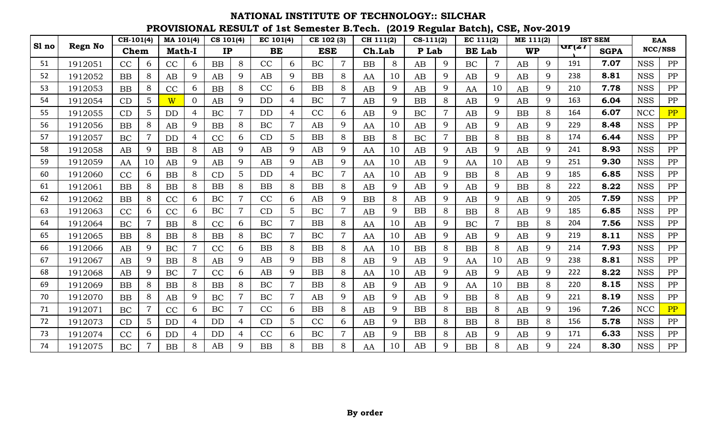|       |                | $CH-101(4)$ |    | $\overline{MA}$ 101(4) |          | CS 101(4) |                | EC 101(4) |                | CE 102 (3) |                | CH 111(2) |    | $CS-111(2)$ |                | EC 111(2)     |                | ME 111(2) |             |               | <b>IST SEM</b> | <b>EAA</b> |            |
|-------|----------------|-------------|----|------------------------|----------|-----------|----------------|-----------|----------------|------------|----------------|-----------|----|-------------|----------------|---------------|----------------|-----------|-------------|---------------|----------------|------------|------------|
| Sl no | <b>Regn No</b> | Chem        |    | <b>Math-I</b>          |          | IP        |                | BE        |                | <b>ESE</b> |                | Ch.Lab    |    | P Lab       |                | <b>BE Lab</b> |                | <b>WP</b> |             | $\pi$ r $\mu$ | <b>SGPA</b>    | NCC/NSS    |            |
| 51    | 1912051        | CC          | 6  | CC                     | 6        | BB        | 8              | CC        | 6              | <b>BC</b>  | 7              | <b>BB</b> | 8  | AB          | 9              | BC            | $\overline{7}$ | AB        | 9           | 191           | 7.07           | <b>NSS</b> | PP         |
| 52    | 1912052        | <b>BB</b>   | 8  | AB                     | 9        | AB        | 9              | AB        | 9              | BB         | 8              | AA        | 10 | AB          | 9              | AB            | 9              | AB        | 9           | 238           | 8.81           | <b>NSS</b> | PP         |
| 53    | 1912053        | <b>BB</b>   | 8  | CC                     | 6        | BB        | 8              | CC        | 6              | <b>BB</b>  | 8              | AB        | 9  | AB          | 9              | AA            | 10             | AB        | 9           | 210           | 7.78           | <b>NSS</b> | PP         |
| 54    | 1912054        | CD          | 5  | W                      | $\Omega$ | AB        | 9              | <b>DD</b> | $\overline{4}$ | <b>BC</b>  | $\overline{7}$ | AB        | 9  | <b>BB</b>   | 8              | AB            | 9              | AB        | 9           | 163           | 6.04           | <b>NSS</b> | PP         |
| 55    | 1912055        | CD          | 5  | <b>DD</b>              | 4        | <b>BC</b> | $\overline{7}$ | <b>DD</b> | $\overline{4}$ | CC         | 6              | AB        | 9  | <b>BC</b>   | $\overline{7}$ | AB            | 9              | <b>BB</b> | 8           | 164           | 6.07           | <b>NCC</b> | PP         |
| 56    | 1912056        | <b>BB</b>   | 8  | AB                     | 9        | <b>BB</b> | 8              | BC        | $\overline{7}$ | AB         | 9              | AA        | 10 | AB          | 9              | AB            | 9              | AB        | 9           | 229           | 8.48           | <b>NSS</b> | PP         |
| 57    | 1912057        | BC          |    | DD                     | 4        | CC        | 6              | CD        | 5              | <b>BB</b>  | 8              | <b>BB</b> | 8  | BC          | $\overline{7}$ | <b>BB</b>     | 8              | <b>BB</b> | 8           | 174           | 6.44           | <b>NSS</b> | ${\rm PP}$ |
| 58    | 1912058        | AB          | 9  | BB                     | 8        | AB        | 9              | AB        | 9              | AB         | 9              | AA        | 10 | AB          | 9              | AB            | 9              | AB        | 9           | 241           | 8.93           | <b>NSS</b> | ${\rm PP}$ |
| 59    | 1912059        | AA          | 10 | AB                     | 9        | AB        | 9              | AB        | 9              | AB         | 9              | AA        | 10 | AB          | 9              | AA            | 10             | AB        | 9           | 251           | 9.30           | <b>NSS</b> | PP         |
| 60    | 1912060        | CC          | 6  | <b>BB</b>              | 8        | CD        | 5              | <b>DD</b> | 4              | BC         | $\overline{7}$ | AA        | 10 | AB          | 9              | <b>BB</b>     | 8              | AB        | 9           | 185           | 6.85           | <b>NSS</b> | ${\rm PP}$ |
| 61    | 1912061        | <b>BB</b>   | 8  | BB                     | 8        | BB        | 8              | <b>BB</b> | 8              | BB         | 8              | AB        | 9  | AB          | 9              | AB            | 9              | <b>BB</b> | 8           | 222           | 8.22           | <b>NSS</b> | PP         |
| 62    | 1912062        | <b>BB</b>   | 8  | CC                     | 6        | <b>BC</b> | $\overline{7}$ | CC        | 6              | AB         | 9              | <b>BB</b> | 8  | AB          | 9              | AB            | 9              | AB        | 9           | 205           | 7.59           | <b>NSS</b> | PP         |
| 63    | 1912063        | CC          | 6  | CC                     | 6        | BC        | $\overline{7}$ | CD        | 5              | <b>BC</b>  | $\overline{7}$ | AB        | 9  | BB          | 8              | <b>BB</b>     | 8              | AB        | 9           | 185           | 6.85           | <b>NSS</b> | PP         |
| 64    | 1912064        | BC          |    | <b>BB</b>              | 8        | CC        | 6              | BC        | $\overline{7}$ | <b>BB</b>  | 8              | AA        | 10 | AB          | 9              | BC            | $\overline{7}$ | <b>BB</b> | 8           | 204           | 7.56           | <b>NSS</b> | PP         |
| 65    | 1912065        | <b>BB</b>   | 8  | BB                     | 8        | BB        | 8              | BC        | $\overline{7}$ | BC         |                | AA        | 10 | AB          | 9              | AB            | 9              | AB        | 9           | 219           | 8.11           | <b>NSS</b> | PP         |
| 66    | 1912066        | AB          | 9  | BC                     |          | CC        | 6              | <b>BB</b> | 8              | BB         | 8              | AA        | 10 | BB          | 8              | <b>BB</b>     | 8              | AB        | 9           | 214           | 7.93           | <b>NSS</b> | ${\rm PP}$ |
| 67    | 1912067        | AB          | 9  | BB                     | 8        | AB        | 9              | AB        | 9              | <b>BB</b>  | 8              | AB        | 9  | AB          | 9              | AA            | 10             | AB        | 9           | 238           | 8.81           | <b>NSS</b> | PP         |
| 68    | 1912068        | AB          | 9  | BC                     |          | CC        | 6              | AB        | 9              | BB         | 8              | AA        | 10 | AB          | 9              | AB            | 9              | AB        | 9           | 222           | 8.22           | <b>NSS</b> | PP         |
| 69    | 1912069        | <b>BB</b>   | 8  | BB                     | 8        | BB        | 8              | BC        | $\overline{7}$ | <b>BB</b>  | 8              | AB        | 9  | AB          | 9              | AA            | 10             | <b>BB</b> | 8           | 220           | 8.15           | <b>NSS</b> | PP         |
| 70    | 1912070        | <b>BB</b>   | 8  | AB                     | 9        | <b>BC</b> | $\overline{7}$ | <b>BC</b> | $\overline{7}$ | AB         | 9              | AB        | 9  | AB          | 9              | <b>BB</b>     | 8              | AB        | 9           | 221           | 8.19           | <b>NSS</b> | PP         |
| 71    | 1912071        | BC          |    | CC                     | 6        | BC        | $\overline{7}$ | CC        | 6              | <b>BB</b>  | 8              | AB        | 9  | BB          | 8              | <b>BB</b>     | 8              | AB        | 9           | 196           | 7.26           | <b>NCC</b> | PP         |
| 72    | 1912073        | CD          | 5  | DD                     |          | <b>DD</b> | $\overline{4}$ | CD        | 5              | CC         | 6              | AB        | 9  | BB          | 8              | <b>BB</b>     | 8              | <b>BB</b> | 8           | 156           | 5.78           | <b>NSS</b> | PP         |
| 73    | 1912074        | CC          | 6  | DD                     |          | <b>DD</b> | $\overline{4}$ | CC        | 6              | <b>BC</b>  |                | AB        | 9  | BB          | 8              | AB            | 9              | AB        | 9           | 171           | 6.33           | <b>NSS</b> | PP         |
| 74    | 1912075        | BC          |    | <b>BB</b>              | 8        | AB        | $\mathbf Q$    | <b>BB</b> | 8              | <b>BB</b>  | 8              | AA        | 10 | AB          | $\mathbf Q$    | <b>BB</b>     | 8              | AB        | $\mathbf Q$ | 224           | 8.30           | <b>NSS</b> | PP         |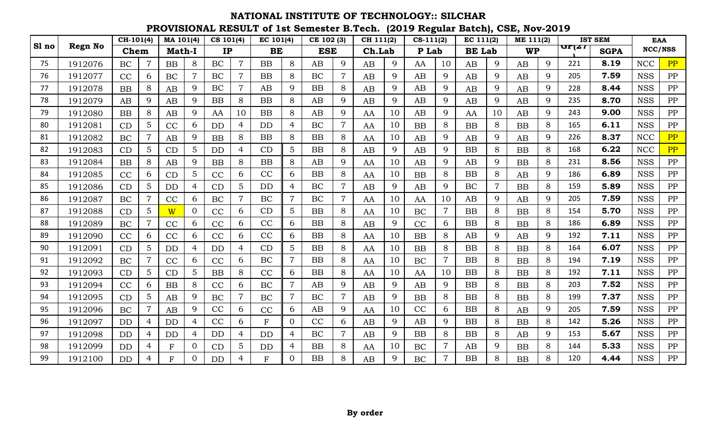|       |                | $CH-101(4)$ |                | MA 101(4)     |                 | CS 101(4) |                | EC 101(4)    |                | CE 102 (3) |                | CH 111(2) |             | $CS-111(2)$ |                | EC 111(2)     |                | ME 111(2) |   |               | <b>IST SEM</b> | <b>EAA</b> |            |
|-------|----------------|-------------|----------------|---------------|-----------------|-----------|----------------|--------------|----------------|------------|----------------|-----------|-------------|-------------|----------------|---------------|----------------|-----------|---|---------------|----------------|------------|------------|
| Sl no | <b>Regn No</b> | Chem        |                | <b>Math-I</b> |                 | IP        |                | <b>BE</b>    |                | <b>ESE</b> |                | Ch.Lab    |             | P Lab       |                | <b>BE</b> Lab |                | <b>WP</b> |   | $\pi$ r $\mu$ | <b>SGPA</b>    | NCC/NSS    |            |
| 75    | 1912076        | BC          |                | BB            | 8               | <b>BC</b> | $\overline{7}$ | <b>BB</b>    | 8              | AB         | 9              | AB        | 9           | AA          | 10             | AB            | 9              | AB        | 9 | 221           | 8.19           | <b>NCC</b> | PP         |
| 76    | 1912077        | CC          | 6              | <b>BC</b>     | $\overline{7}$  | BC        | $\overline{7}$ | <b>BB</b>    | 8              | BC         | $\overline{7}$ | AB        | 9           | AB          | 9              | AB            | 9              | AB        | 9 | 205           | 7.59           | <b>NSS</b> | PP         |
| 77    | 1912078        | <b>BB</b>   | 8              | AB            | 9               | BC        | $\overline{7}$ | AB           | 9              | <b>BB</b>  | 8              | AB        | 9           | AB          | 9              | AB            | 9              | AB        | 9 | 228           | 8.44           | <b>NSS</b> | PP         |
| 78    | 1912079        | AB          | 9              | AB            | 9               | <b>BB</b> | 8              | <b>BB</b>    | 8              | AB         | 9              | AB        | 9           | AB          | 9              | AB            | 9              | AB        | 9 | 235           | 8.70           | <b>NSS</b> | PP         |
| 79    | 1912080        | <b>BB</b>   | 8              | AB            | 9               | AA        | 10             | <b>BB</b>    | 8              | AB         | 9              | AA        | 10          | AB          | 9              | AA            | 10             | AB        | 9 | 243           | 9.00           | <b>NSS</b> | PP         |
| 80    | 1912081        | CD          | 5              | CC            | 6               | <b>DD</b> | $\overline{4}$ | <b>DD</b>    | 4              | BC         | $\overline{7}$ | AA        | 10          | BB          | 8              | <b>BB</b>     | 8              | <b>BB</b> | 8 | 165           | 6.11           | <b>NSS</b> | PP         |
| 81    | 1912082        | BC          |                | AB            | 9               | <b>BB</b> | 8              | <b>BB</b>    | 8              | <b>BB</b>  | 8              | AA        | 10          | AB          | 9              | AB            | 9              | AB        | 9 | 226           | 8.37           | <b>NCC</b> | PP         |
| 82    | 1912083        | CD          | 5              | CD            | 5               | <b>DD</b> | 4              | CD           | 5 <sup>5</sup> | <b>BB</b>  | 8              | AB        | 9           | AB          | 9              | <b>BB</b>     | 8              | <b>BB</b> | 8 | 168           | 6.22           | <b>NCC</b> | PP         |
| 83    | 1912084        | <b>BB</b>   | 8              | AB            | 9               | BB        | 8              | <b>BB</b>    | 8              | AB         | 9              | AA        | 10          | AB          | 9              | AB            | 9              | BB        | 8 | 231           | 8.56           | <b>NSS</b> | PP         |
| 84    | 1912085        | CC          | 6              | CD            | $5\overline{)}$ | CC        | 6              | CC           | 6              | <b>BB</b>  | 8              | AA        | 10          | <b>BB</b>   | 8              | <b>BB</b>     | 8              | AB        | 9 | 186           | 6.89           | <b>NSS</b> | PP         |
| 85    | 1912086        | CD          | 5              | DD            | 4               | CD        | 5              | <b>DD</b>    | 4              | BC         | $\overline{7}$ | AB        | 9           | AB          | 9              | BC            | $\overline{7}$ | <b>BB</b> | 8 | 159           | 5.89           | <b>NSS</b> | ${\rm PP}$ |
| 86    | 1912087        | BC          |                | CC            | 6               | BC        | $\overline{7}$ | <b>BC</b>    | $\overline{7}$ | BC         | 7              | AA        | 10          | AA          | 10             | AB            | 9              | AB        | 9 | 205           | 7.59           | <b>NSS</b> | PP         |
| 87    | 1912088        | CD          | 5              | W             | $\overline{0}$  | CC        | 6              | CD           | 5              | <b>BB</b>  | 8              | AA        | 10          | <b>BC</b>   | $\overline{7}$ | <b>BB</b>     | 8              | <b>BB</b> | 8 | 154           | 5.70           | <b>NSS</b> | PP         |
| 88    | 1912089        | BC          |                | CC            | 6               | CC        | 6              | CC           | 6              | <b>BB</b>  | 8              | AB        | 9           | CC          | 6              | <b>BB</b>     | 8              | <b>BB</b> | 8 | 186           | 6.89           | <b>NSS</b> | PP         |
| 89    | 1912090        | CC          | 6              | CC            | 6               | CC        | 6              | CC           | 6              | <b>BB</b>  | 8              | AA        | 10          | <b>BB</b>   | 8              | AB            | 9              | AB        | 9 | 192           | 7.11           | <b>NSS</b> | PP         |
| 90    | 1912091        | CD          | 5              | DD            | 4               | <b>DD</b> | $\overline{4}$ | CD           | 5              | <b>BB</b>  | 8              | AA        | 10          | BB          | 8              | <b>BB</b>     | 8              | <b>BB</b> | 8 | 164           | 6.07           | <b>NSS</b> | PP         |
| 91    | 1912092        | BC          |                | CC            | 6               | CC        | 6              | <b>BC</b>    | $\overline{7}$ | <b>BB</b>  | 8              | AA        | 10          | BC          | $\overline{7}$ | <b>BB</b>     | 8              | <b>BB</b> | 8 | 194           | 7.19           | <b>NSS</b> | PP         |
| 92    | 1912093        | CD          | 5              | CD            | $\overline{5}$  | <b>BB</b> | 8              | CC           | 6              | <b>BB</b>  | 8              | AA        | 10          | AA          | 10             | <b>BB</b>     | 8              | <b>BB</b> | 8 | 192           | 7.11           | <b>NSS</b> | PP         |
| 93    | 1912094        | CC          | 6              | <b>BB</b>     | 8               | CC        | 6              | <b>BC</b>    | $\overline{7}$ | AB         | 9              | AB        | 9           | AB          | 9              | <b>BB</b>     | 8              | <b>BB</b> | 8 | 203           | 7.52           | <b>NSS</b> | PP         |
| 94    | 1912095        | CD          | 5              | AB            | 9               | BC        | $\overline{7}$ | BC           | $\overline{7}$ | BC         |                | AB        | 9           | <b>BB</b>   | 8              | <b>BB</b>     | 8              | <b>BB</b> | 8 | 199           | 7.37           | <b>NSS</b> | PP         |
| 95    | 1912096        | BC          | 7              | AB            | 9               | CC        | 6              | CC           | 6              | AB         | 9              | AA        | 10          | CC          | 6              | <b>BB</b>     | 8              | AB        | 9 | 205           | 7.59           | <b>NSS</b> | PP         |
| 96    | 1912097        | <b>DD</b>   | $\overline{4}$ | DD            | $\overline{4}$  | CC        | 6              | $\mathbf{F}$ | $\overline{0}$ | CC         | 6              | AB        | 9           | AB          | 9              | <b>BB</b>     | 8              | <b>BB</b> | 8 | 142           | 5.26           | <b>NSS</b> | PP         |
| 97    | 1912098        | DD          | $\overline{4}$ | <b>DD</b>     | $\overline{4}$  | <b>DD</b> | $\overline{4}$ | <b>DD</b>    | $\overline{4}$ | BC         | $\overline{7}$ | AB        | $\mathbf Q$ | <b>BB</b>   | 8              | <b>BB</b>     | 8              | AB        | 9 | 153           | 5.67           | <b>NSS</b> | PP         |
| 98    | 1912099        | <b>DD</b>   | 4              | $\mathbf F$   | $\overline{0}$  | CD        | 5              | <b>DD</b>    | 4              | <b>BB</b>  | 8              | AA        | 10          | BC          | $\overline{7}$ | AB            | 9              | BB        | 8 | 144           | 5.33           | <b>NSS</b> | PP         |
| 99    | 1912100        | <b>DD</b>   |                | F             |                 | <b>DD</b> | 4              | $\mathbf{F}$ | 0              | <b>BB</b>  | 8              | AB        | 9           | <b>BC</b>   | 7              | <b>BB</b>     | 8              | <b>BB</b> | 8 | 120           | 4.44           | <b>NSS</b> | PP         |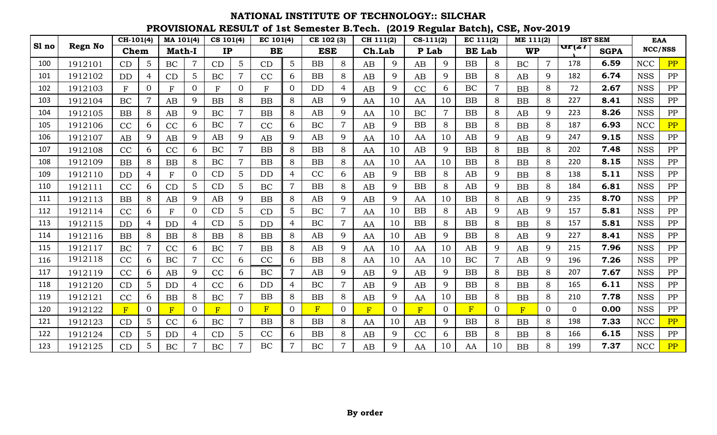|       |         | $CH-101(4)$  |                | MA 101(4)                 |                | CS 101(4) |                 | EC 101(4) |                 | CE 102 (3) |                | CH 111(2) |          | $CS-111(2)$    |                | EC 111(2)     |                | ME 111(2) |                |               | <b>IST SEM</b> |            | <b>EAA</b> |
|-------|---------|--------------|----------------|---------------------------|----------------|-----------|-----------------|-----------|-----------------|------------|----------------|-----------|----------|----------------|----------------|---------------|----------------|-----------|----------------|---------------|----------------|------------|------------|
| Sl no | Regn No | Chem         |                | <b>Math-I</b>             |                | IP        |                 | BE        |                 | <b>ESE</b> |                | Ch.Lab    |          | P Lab          |                | <b>BE</b> Lab |                | <b>WP</b> |                | $\pi$ r $\mu$ | <b>SGPA</b>    |            | NCC/NSS    |
| 100   | 1912101 | CD           | 5              | BC                        | $\overline{7}$ | CD        | $5\phantom{.}$  | CD        | $5\overline{)}$ | BB         | 8              | AB        | 9        | AB             | 9              | <b>BB</b>     | 8              | <b>BC</b> | $\overline{7}$ | 178           | 6.59           | <b>NCC</b> | PP         |
| 101   | 1912102 | <b>DD</b>    | 4              | CD                        | 5              | BC        | $\overline{7}$  | CC        | 6               | <b>BB</b>  | 8              | AB        | 9        | AB             | 9              | <b>BB</b>     | 8              | AB        | 9              | 182           | 6.74           | <b>NSS</b> | PP         |
| 102   | 1912103 | $\mathbf{F}$ | $\mathbf{0}$   | $\boldsymbol{\mathrm{F}}$ | $\overline{0}$ | F         | $\overline{0}$  | F         | $\overline{0}$  | <b>DD</b>  | 4              | AB        | 9        | CC             | 6              | BC            | $\overline{7}$ | BB        | 8              | 72            | 2.67           | <b>NSS</b> | PP         |
| 103   | 1912104 | <b>BC</b>    | $\overline{7}$ | AB                        | 9              | <b>BB</b> | 8               | BB        | 8               | AB         | 9              | AA        | 10       | AA             | 10             | <b>BB</b>     | 8              | <b>BB</b> | 8              | 227           | 8.41           | <b>NSS</b> | PP         |
| 104   | 1912105 | <b>BB</b>    | 8              | AB                        | 9              | BC        | $\overline{7}$  | <b>BB</b> | 8               | AB         | 9              | AA        | 10       | <b>BC</b>      | $\overline{7}$ | <b>BB</b>     | 8              | AB        | 9              | 223           | 8.26           | <b>NSS</b> | PP         |
| 105   | 1912106 | CC           | 6              | CC                        | 6              | BC        | $\overline{7}$  | CC        | 6               | BC         | $\overline{7}$ | AB        | 9        | BB             | 8              | <b>BB</b>     | 8              | <b>BB</b> | 8              | 187           | 6.93           | <b>NCC</b> | PP         |
| 106   | 1912107 | AB           | 9              | AB                        | 9              | AB        | 9               | AB        | 9               | AB         | 9              | AA        | 10       | AA             | 10             | AB            | 9              | AB        | 9              | 247           | 9.15           | <b>NSS</b> | PP         |
| 107   | 1912108 | CC           | 6              | CC                        | 6              | BC        | $\overline{7}$  | BB        | 8               | <b>BB</b>  | 8              | AA        | 10       | AB             | 9              | <b>BB</b>     | 8              | BB        | 8              | 202           | 7.48           | <b>NSS</b> | PP         |
| 108   | 1912109 | <b>BB</b>    | 8              | <b>BB</b>                 | 8              | BC        | $\overline{7}$  | <b>BB</b> | 8               | <b>BB</b>  | 8              | AA        | 10       | AA             | 10             | <b>BB</b>     | 8              | <b>BB</b> | 8              | 220           | 8.15           | <b>NSS</b> | PP         |
| 109   | 1912110 | <b>DD</b>    | 4              | ${\bf F}$                 | 0              | CD        | 5               | <b>DD</b> | $\overline{4}$  | CC         | 6              | AB        | 9        | <b>BB</b>      | 8              | AB            | 9              | <b>BB</b> | 8              | 138           | 5.11           | <b>NSS</b> | PP         |
| 110   | 1912111 | CC           | 6              | CD                        | 5 <sup>5</sup> | CD        | 5               | <b>BC</b> | $\overline{7}$  | <b>BB</b>  | 8              | AB        | 9        | <b>BB</b>      | 8              | AB            | 9              | <b>BB</b> | 8              | 184           | 6.81           | <b>NSS</b> | PP         |
| 111   | 1912113 | <b>BB</b>    | 8              | AB                        | 9              | AB        | 9               | BB        | 8               | AB         | 9              | AB        | 9        | AA             | 10             | <b>BB</b>     | 8              | AB        | 9              | 235           | 8.70           | <b>NSS</b> | PP         |
| 112   | 1912114 | CC           | 6              | F                         | $\Omega$       | CD        | $5\overline{)}$ | CD        | $5\overline{)}$ | BC         | $\overline{7}$ | AA        | 10       | BB             | 8              | AB            | 9              | AB        | 9              | 157           | 5.81           | <b>NSS</b> | PP         |
| 113   | 1912115 | DD           | 4              | <b>DD</b>                 | 4              | CD        | 5               | <b>DD</b> | $\overline{4}$  | BC         | $\overline{7}$ | AA        | 10       | BB             | 8              | <b>BB</b>     | 8              | <b>BB</b> | 8              | 157           | 5.81           | <b>NSS</b> | ${\rm PP}$ |
| 114   | 1912116 | <b>BB</b>    | 8              | BB                        | 8              | <b>BB</b> | 8               | <b>BB</b> | 8               | AB         | 9              | AA        | 10       | AB             | 9              | <b>BB</b>     | 8              | AB        | 9              | 227           | 8.41           | <b>NSS</b> | PP         |
| 115   | 1912117 | BC           |                | CC                        | 6              | BC        | $\overline{7}$  | <b>BB</b> | 8               | AB         | 9              | AA        | 10       | AA             | 10             | AB            | 9              | AB        | 9              | 215           | 7.96           | <b>NSS</b> | PP         |
| 116   | 1912118 | CC           | 6              | BC                        |                | CC        | 6               | CC        | 6               | <b>BB</b>  | 8              | AA        | 10       | AA             | 10             | BC            | $\overline{7}$ | AB        | 9              | 196           | 7.26           | <b>NSS</b> | PP         |
| 117   | 1912119 | CC           | 6              | AB                        | 9              | CC        | 6               | <b>BC</b> | $\overline{7}$  | AB         | 9              | AB        | 9        | AB             | 9              | <b>BB</b>     | 8              | <b>BB</b> | 8              | 207           | 7.67           | <b>NSS</b> | PP         |
| 118   | 1912120 | CD           | 5              | DD                        | $\overline{4}$ | CC        | 6               | <b>DD</b> | 4               | BC         | $\overline{7}$ | AB        | 9        | AB             | 9              | <b>BB</b>     | 8              | BB        | 8              | 165           | 6.11           | <b>NSS</b> | PP         |
| 119   | 1912121 | CC           | 6              | <b>BB</b>                 | 8              | BC        | $\overline{7}$  | <b>BB</b> | 8               | <b>BB</b>  | 8              | AB        | 9        | AA             | 10             | <b>BB</b>     | 8              | <b>BB</b> | 8              | 210           | 7.78           | <b>NSS</b> | PP         |
| 120   | 1912122 | F            | $\overline{0}$ | F                         | $\overline{0}$ | F         | $\Omega$        | F         | $\Omega$        | F          | $\Omega$       | F         | $\Omega$ | $\overline{F}$ | $\Omega$       | F             | $\Omega$       | F         | $\Omega$       | $\Omega$      | 0.00           | <b>NSS</b> | PP         |
| 121   | 1912123 | CD           | 5              | CC                        | 6              | BC        | $\overline{7}$  | <b>BB</b> | 8               | <b>BB</b>  | 8              | AA        | 10       | AB             | 9              | <b>BB</b>     | 8              | <b>BB</b> | 8              | 198           | 7.33           | <b>NCC</b> | PP         |
| 122   | 1912124 | CD           | 5              | DD                        | 4              | CD        | 5               | CC        | 6               | <b>BB</b>  | 8              | AB        | 9        | CC             | 6              | <b>BB</b>     | 8              | BB        | 8              | 166           | 6.15           | <b>NSS</b> | PP         |
| 123   | 1912125 | CD           | 5              | <b>BC</b>                 |                | BC        | $\overline{7}$  | <b>BC</b> | $\overline{7}$  | <b>BC</b>  |                | AB        | Q        | AA             | 10             | AA            | 10             | <b>BB</b> | 8              | 199           | 7.37           | <b>NCC</b> | PP         |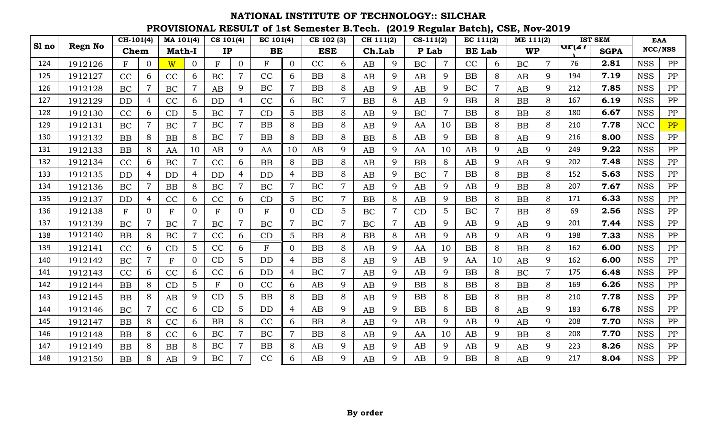|       |                | $\overline{CH-101(4)}$ |                | MA 101(4)     |                | CS 101(4)    |                | EC 101(4)   |                | CE 102 (3) |                | CH 111(2) |                | $CS-111(2)$ |                | EC 111(2)     |                | ME 111(2) |                |                               | <b>IST SEM</b> | <b>EAA</b> |            |
|-------|----------------|------------------------|----------------|---------------|----------------|--------------|----------------|-------------|----------------|------------|----------------|-----------|----------------|-------------|----------------|---------------|----------------|-----------|----------------|-------------------------------|----------------|------------|------------|
| Sl no | <b>Regn No</b> | Chem                   |                | <b>Math-I</b> |                | IP           |                | BE          |                | <b>ESE</b> |                | Ch.Lab    |                | P Lab       |                | <b>BE</b> Lab |                | <b>WP</b> |                | $\mathbf{u}$ r $\mathbf{z}$ r | <b>SGPA</b>    |            | NCC/NSS    |
| 124   | 1912126        | F                      | $\Omega$       | W             | $\overline{0}$ | $\mathbf{F}$ | $\overline{0}$ | F           | $\overline{0}$ | CC         | 6              | AB        | 9              | <b>BC</b>   | $\overline{7}$ | CC            | 6              | <b>BC</b> | $\overline{7}$ | 76                            | 2.81           | <b>NSS</b> | PP         |
| 125   | 1912127        | CC                     | 6              | CC            | 6              | <b>BC</b>    | $\overline{7}$ | CC          | 6              | <b>BB</b>  | 8              | AB        | $\mathbf Q$    | AB          | 9              | <b>BB</b>     | 8              | AB        | 9              | 194                           | 7.19           | <b>NSS</b> | PP         |
| 126   | 1912128        | BC                     |                | BC            |                | AB           | 9              | BC          | $\overline{7}$ | <b>BB</b>  | 8              | AB        | 9              | AB          | 9              | BC            | $\overline{7}$ | AB        | 9              | 212                           | 7.85           | <b>NSS</b> | PP         |
| 127   | 1912129        | <b>DD</b>              | 4              | CC            | 6              | <b>DD</b>    | 4              | CC          | 6              | BC         | $\overline{7}$ | BB        | 8              | AB          | 9              | <b>BB</b>     | 8              | BB        | 8              | 167                           | 6.19           | <b>NSS</b> | PP         |
| 128   | 1912130        | CC                     | 6              | CD            | $\overline{5}$ | BC           | $\overline{7}$ | CD          | 5              | <b>BB</b>  | 8              | AB        | 9              | BC          | $\overline{7}$ | <b>BB</b>     | 8              | BB        | 8              | 180                           | 6.67           | <b>NSS</b> | PP         |
| 129   | 1912131        | BC                     | 7              | BC            | $\overline{7}$ | BC           | $\overline{7}$ | BB          | 8              | BB         | 8              | AB        | $\mathbf Q$    | AA          | 10             | <b>BB</b>     | 8              | BB        | 8              | 210                           | 7.78           | <b>NCC</b> | PP         |
| 130   | 1912132        | <b>BB</b>              | 8              | <b>BB</b>     | 8              | BC           | $\overline{7}$ | <b>BB</b>   | 8              | <b>BB</b>  | 8              | <b>BB</b> | 8              | AB          | 9              | <b>BB</b>     | 8              | AB        | 9              | 216                           | 8.00           | <b>NSS</b> | PP         |
| 131   | 1912133        | <b>BB</b>              | 8              | AA            | 10             | AB           | 9              | AA          | 10             | AB         | 9              | AB        | 9              | AA          | 10             | AB            | 9              | AB        | 9              | 249                           | 9.22           | <b>NSS</b> | PP         |
| 132   | 1912134        | CC                     | 6              | BC            | $\overline{7}$ | CC           | 6              | BB          | 8              | <b>BB</b>  | 8              | AB        | 9              | <b>BB</b>   | 8              | AB            | 9              | AB        | 9              | 202                           | 7.48           | <b>NSS</b> | PP         |
| 133   | 1912135        | <b>DD</b>              | $\overline{4}$ | <b>DD</b>     | $\overline{4}$ | <b>DD</b>    | $\overline{4}$ | <b>DD</b>   | $\overline{4}$ | BB         | 8              | AB        | 9              | <b>BC</b>   | $\overline{7}$ | <b>BB</b>     | 8              | <b>BB</b> | 8              | 152                           | 5.63           | <b>NSS</b> | PP         |
| 134   | 1912136        | BC                     | $\overline{7}$ | <b>BB</b>     | 8              | BC           | $\overline{7}$ | BC          | $\overline{7}$ | BC         | $\overline{7}$ | AB        | 9              | AB          | 9              | AB            | 9              | BB        | 8              | 207                           | 7.67           | <b>NSS</b> | ${\rm PP}$ |
| 135   | 1912137        | DD                     | 4              | CC            | 6              | CC           | 6              | CD          | 5 <sup>5</sup> | BC         | 7              | BB        | 8              | AB          | 9              | <b>BB</b>     | 8              | BB        | 8              | 171                           | 6.33           | <b>NSS</b> | PP         |
| 136   | 1912138        | F                      | $\overline{0}$ | $\mathbf{F}$  | $\overline{0}$ | $\mathbf{F}$ | $\overline{0}$ | F           | $\overline{0}$ | CD         | 5              | BC        | $\overline{7}$ | CD          | 5              | BC            | $\overline{7}$ | <b>BB</b> | 8              | 69                            | 2.56           | <b>NSS</b> | PP         |
| 137   | 1912139        | BC                     |                | BC            |                | BC           | $\overline{7}$ | BC          | $\overline{7}$ | BC         | $\overline{7}$ | BC        |                | AB          | 9              | AB            | 9              | AB        | 9              | 201                           | 7.44           | <b>NSS</b> | PP         |
| 138   | 1912140        | BB                     | 8              | BC            | $\overline{7}$ | CC           | 6              | CD          | 5 <sup>5</sup> | <b>BB</b>  | 8              | BB        | 8              | AB          | 9              | AB            | 9              | AB        | 9              | 198                           | 7.33           | <b>NSS</b> | PP         |
| 139   | 1912141        | CC                     | 6              | CD            | 5              | CC           | 6              | $\mathbf F$ | $\overline{0}$ | <b>BB</b>  | 8              | AB        | 9              | AA          | 10             | <b>BB</b>     | 8              | BB        | 8              | 162                           | 6.00           | <b>NSS</b> | PP         |
| 140   | 1912142        | BC                     | $\overline{7}$ | $\rm F$       | $\Omega$       | CD           | 5              | <b>DD</b>   | 4              | <b>BB</b>  | 8              | AB        | 9              | AB          | 9              | AA            | 10             | AB        | 9              | 162                           | 6.00           | <b>NSS</b> | ${\rm PP}$ |
| 141   | 1912143        | CC                     | 6              | CC            | 6              | CC           | 6              | <b>DD</b>   | $\overline{4}$ | <b>BC</b>  | $\overline{7}$ | AB        | 9              | AB          | 9              | <b>BB</b>     | 8              | <b>BC</b> | $\overline{7}$ | 175                           | 6.48           | <b>NSS</b> | PP         |
| 142   | 1912144        | <b>BB</b>              | 8              | CD            | $5^{\circ}$    | $\mathbf{F}$ | $\overline{0}$ | CC          | 6              | AB         | 9              | AB        | 9              | <b>BB</b>   | 8              | <b>BB</b>     | 8              | <b>BB</b> | 8              | 169                           | 6.26           | <b>NSS</b> | PP         |
| 143   | 1912145        | <b>BB</b>              | 8              | AB            | 9              | CD           | 5              | BB          | 8              | <b>BB</b>  | 8              | AB        | 9              | <b>BB</b>   | 8              | <b>BB</b>     | 8              | <b>BB</b> | 8              | 210                           | 7.78           | <b>NSS</b> | PP         |
| 144   | 1912146        | BC                     | $\overline{7}$ | CC            | 6              | CD           | 5              | <b>DD</b>   | $\overline{4}$ | AB         | 9              | AB        | 9              | <b>BB</b>   | 8              | <b>BB</b>     | 8              | AB        | 9              | 183                           | 6.78           | <b>NSS</b> | PP         |
| 145   | 1912147        | <b>BB</b>              | 8              | CC            | 6              | <b>BB</b>    | 8              | CC          | 6              | <b>BB</b>  | 8              | AB        | 9              | AB          | 9              | AB            | 9              | AB        | 9              | 208                           | 7.70           | <b>NSS</b> | PP         |
| 146   | 1912148        | <b>BB</b>              | 8              | CC            | 6              | BC           | $\overline{7}$ | <b>BC</b>   | $\overline{7}$ | <b>BB</b>  | 8              | AB        | $\mathbf Q$    | AA          | 10             | AB            | 9              | <b>BB</b> | 8              | 208                           | 7.70           | <b>NSS</b> | PP         |
| 147   | 1912149        | <b>BB</b>              | 8              | <b>BB</b>     | 8              | BC           | $\overline{7}$ | BB          | 8              | AB         | 9              | AB        | 9              | AB          | 9              | AB            | 9              | AB        | 9              | 223                           | 8.26           | <b>NSS</b> | PP         |
| 148   | 1912150        | <b>BB</b>              | 8              | AB            | 9              | <b>BC</b>    | $\overline{7}$ | CC          | 6              | AB         | Q              | AB        | 9              | AB          | 9              | <b>BB</b>     | 8              | AB        | 9              | 217                           | 8.04           | <b>NSS</b> | PP         |